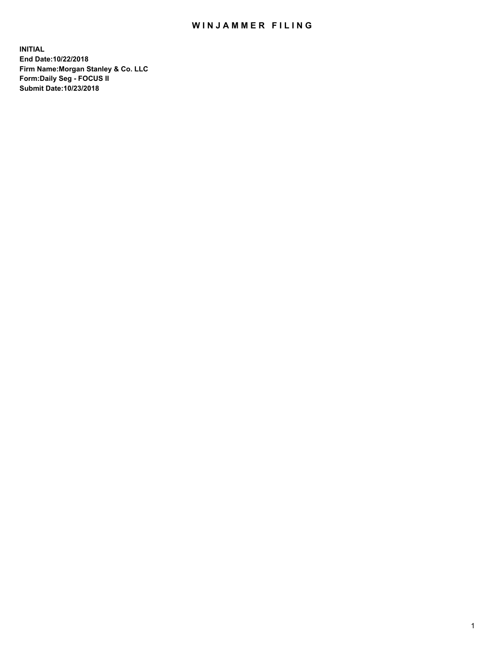## WIN JAMMER FILING

**INITIAL End Date:10/22/2018 Firm Name:Morgan Stanley & Co. LLC Form:Daily Seg - FOCUS II Submit Date:10/23/2018**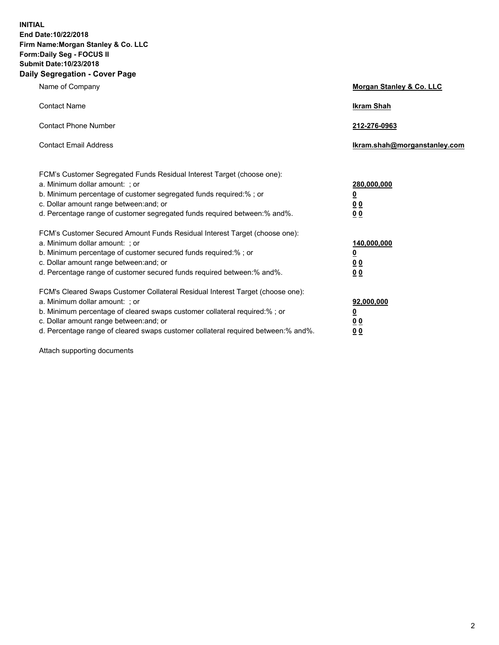**INITIAL End Date:10/22/2018 Firm Name:Morgan Stanley & Co. LLC Form:Daily Seg - FOCUS II Submit Date:10/23/2018 Daily Segregation - Cover Page**

| Name of Company                                                                                                                                                                                                                                                                                                                | Morgan Stanley & Co. LLC                                    |
|--------------------------------------------------------------------------------------------------------------------------------------------------------------------------------------------------------------------------------------------------------------------------------------------------------------------------------|-------------------------------------------------------------|
| <b>Contact Name</b>                                                                                                                                                                                                                                                                                                            | <b>Ikram Shah</b>                                           |
| <b>Contact Phone Number</b>                                                                                                                                                                                                                                                                                                    | 212-276-0963                                                |
| <b>Contact Email Address</b>                                                                                                                                                                                                                                                                                                   | lkram.shah@morganstanley.com                                |
| FCM's Customer Segregated Funds Residual Interest Target (choose one):<br>a. Minimum dollar amount: ; or<br>b. Minimum percentage of customer segregated funds required:% ; or<br>c. Dollar amount range between: and; or<br>d. Percentage range of customer segregated funds required between: % and %.                       | 280,000,000<br><u>0</u><br>00<br>0 <sub>0</sub>             |
| FCM's Customer Secured Amount Funds Residual Interest Target (choose one):<br>a. Minimum dollar amount: ; or<br>b. Minimum percentage of customer secured funds required:% ; or<br>c. Dollar amount range between: and; or<br>d. Percentage range of customer secured funds required between:% and%.                           | 140,000,000<br><u>0</u><br>0 <sub>0</sub><br>0 <sub>0</sub> |
| FCM's Cleared Swaps Customer Collateral Residual Interest Target (choose one):<br>a. Minimum dollar amount: ; or<br>b. Minimum percentage of cleared swaps customer collateral required:% ; or<br>c. Dollar amount range between: and; or<br>d. Percentage range of cleared swaps customer collateral required between:% and%. | 92,000,000<br><u>0</u><br><u>00</u><br>0 <sup>0</sup>       |

Attach supporting documents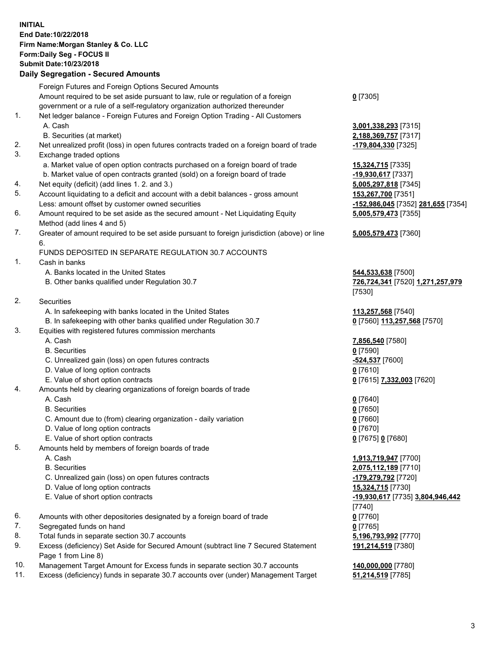## **INITIAL End Date:10/22/2018 Firm Name:Morgan Stanley & Co. LLC Form:Daily Seg - FOCUS II Submit Date:10/23/2018**

## **Daily Segregation - Secured Amounts**

|    | Foreign Futures and Foreign Options Secured Amounts                                         |                                              |
|----|---------------------------------------------------------------------------------------------|----------------------------------------------|
|    | Amount required to be set aside pursuant to law, rule or regulation of a foreign            | $0$ [7305]                                   |
|    | government or a rule of a self-regulatory organization authorized thereunder                |                                              |
| 1. | Net ledger balance - Foreign Futures and Foreign Option Trading - All Customers             |                                              |
|    | A. Cash                                                                                     | 3,001,338,293 [7315]                         |
|    | B. Securities (at market)                                                                   | 2,188,369,757 [7317]                         |
| 2. | Net unrealized profit (loss) in open futures contracts traded on a foreign board of trade   | -179,804,330 [7325]                          |
| 3. | Exchange traded options                                                                     |                                              |
|    | a. Market value of open option contracts purchased on a foreign board of trade              | 15,324,715 [7335]                            |
|    | b. Market value of open contracts granted (sold) on a foreign board of trade                | -19,930,617 [7337]                           |
| 4. | Net equity (deficit) (add lines 1. 2. and 3.)                                               | 5,005,297,818 [7345]                         |
| 5. | Account liquidating to a deficit and account with a debit balances - gross amount           | 153,267,700 [7351]                           |
|    | Less: amount offset by customer owned securities                                            | -152,986,045 [7352] 281,655 [7354]           |
| 6. | Amount required to be set aside as the secured amount - Net Liquidating Equity              | 5,005,579,473 [7355]                         |
|    | Method (add lines 4 and 5)                                                                  |                                              |
| 7. | Greater of amount required to be set aside pursuant to foreign jurisdiction (above) or line | 5,005,579,473 [7360]                         |
|    | 6.                                                                                          |                                              |
|    | FUNDS DEPOSITED IN SEPARATE REGULATION 30.7 ACCOUNTS                                        |                                              |
| 1. | Cash in banks                                                                               |                                              |
|    | A. Banks located in the United States                                                       | 544,533,638 [7500]                           |
|    | B. Other banks qualified under Regulation 30.7                                              | 726,724,341 [7520] 1,271,257,979             |
|    |                                                                                             | [7530]                                       |
| 2. | Securities                                                                                  |                                              |
|    | A. In safekeeping with banks located in the United States                                   | 113,257,568 [7540]                           |
|    | B. In safekeeping with other banks qualified under Regulation 30.7                          | 0 [7560] 113,257,568 [7570]                  |
| 3. | Equities with registered futures commission merchants                                       |                                              |
|    | A. Cash                                                                                     | 7,856,540 [7580]                             |
|    | <b>B.</b> Securities                                                                        | $0$ [7590]                                   |
|    | C. Unrealized gain (loss) on open futures contracts                                         | -524,537 [7600]                              |
|    | D. Value of long option contracts                                                           | $0$ [7610]                                   |
|    | E. Value of short option contracts                                                          | 0 [7615] 7,332,003 [7620]                    |
| 4. | Amounts held by clearing organizations of foreign boards of trade                           |                                              |
|    | A. Cash                                                                                     | $0$ [7640]                                   |
|    | <b>B.</b> Securities                                                                        | $0$ [7650]                                   |
|    | C. Amount due to (from) clearing organization - daily variation                             | $0$ [7660]                                   |
|    | D. Value of long option contracts                                                           | $0$ [7670]                                   |
|    | E. Value of short option contracts                                                          | 0 [7675] 0 [7680]                            |
| 5. | Amounts held by members of foreign boards of trade                                          |                                              |
|    | A. Cash                                                                                     | 1,913,719,947 [7700]                         |
|    | <b>B.</b> Securities                                                                        | 2,075,112,189 [7710]                         |
|    | C. Unrealized gain (loss) on open futures contracts                                         | -179,279,792 [7720]                          |
|    | D. Value of long option contracts                                                           | 15,324,715 [7730]                            |
|    | E. Value of short option contracts                                                          | -19,930,617 [7735] 3,804,946,442             |
|    |                                                                                             | [7740]                                       |
| 6. | Amounts with other depositories designated by a foreign board of trade                      | $0$ [7760]                                   |
| 7. | Segregated funds on hand                                                                    | $0$ [7765]                                   |
| 8. | Total funds in separate section 30.7 accounts                                               | 5,196,793,992 [7770]                         |
| 9. | Excess (deficiency) Set Aside for Secured Amount (subtract line 7 Secured Statement         | 191,214,519 [7380]                           |
|    | Page 1 from Line 8)<br>ist Amerika's Eugene funds in concrete costion 20.7 concurts.        |                                              |
| 10 |                                                                                             | $\overline{110}$ and and $\overline{177001}$ |

- 10. Management Target Amount for Excess funds in separate section 30.7 accounts **140,000,000** [7780]
- 11. Excess (deficiency) funds in separate 30.7 accounts over (under) Management Target **51,214,519** [7785]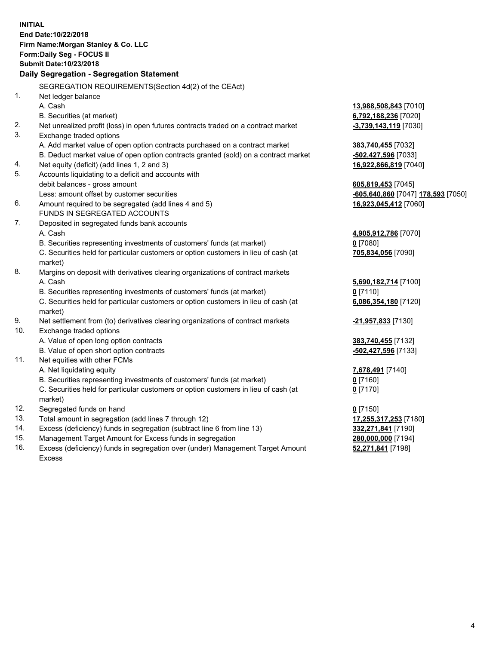|     | <b>INITIAL</b><br>End Date: 10/22/2018<br>Firm Name: Morgan Stanley & Co. LLC<br>Form: Daily Seg - FOCUS II<br>Submit Date: 10/23/2018<br>Daily Segregation - Segregation Statement |                                    |
|-----|-------------------------------------------------------------------------------------------------------------------------------------------------------------------------------------|------------------------------------|
|     | SEGREGATION REQUIREMENTS(Section 4d(2) of the CEAct)                                                                                                                                |                                    |
| 1.  | Net ledger balance                                                                                                                                                                  |                                    |
|     | A. Cash                                                                                                                                                                             | 13,988,508,843 [7010]              |
|     | B. Securities (at market)                                                                                                                                                           | 6,792,188,236 [7020]               |
| 2.  | Net unrealized profit (loss) in open futures contracts traded on a contract market                                                                                                  | -3,739,143,119 [7030]              |
| 3.  | Exchange traded options                                                                                                                                                             |                                    |
|     | A. Add market value of open option contracts purchased on a contract market                                                                                                         | 383,740,455 [7032]                 |
|     | B. Deduct market value of open option contracts granted (sold) on a contract market                                                                                                 | -502,427,596 [7033]                |
| 4.  | Net equity (deficit) (add lines 1, 2 and 3)                                                                                                                                         | 16,922,866,819 [7040]              |
| 5.  | Accounts liquidating to a deficit and accounts with                                                                                                                                 |                                    |
|     | debit balances - gross amount                                                                                                                                                       | 605,819,453 [7045]                 |
|     | Less: amount offset by customer securities                                                                                                                                          | -605,640,860 [7047] 178,593 [7050] |
| 6.  | Amount required to be segregated (add lines 4 and 5)                                                                                                                                | 16,923,045,412 [7060]              |
|     | FUNDS IN SEGREGATED ACCOUNTS                                                                                                                                                        |                                    |
| 7.  | Deposited in segregated funds bank accounts                                                                                                                                         |                                    |
|     | A. Cash                                                                                                                                                                             | 4,905,912,786 [7070]               |
|     | B. Securities representing investments of customers' funds (at market)                                                                                                              | $0$ [7080]                         |
|     | C. Securities held for particular customers or option customers in lieu of cash (at                                                                                                 | 705,834,056 [7090]                 |
|     | market)                                                                                                                                                                             |                                    |
| 8.  | Margins on deposit with derivatives clearing organizations of contract markets                                                                                                      |                                    |
|     | A. Cash                                                                                                                                                                             | 5,690,182,714 [7100]               |
|     | B. Securities representing investments of customers' funds (at market)                                                                                                              | $0$ [7110]                         |
|     | C. Securities held for particular customers or option customers in lieu of cash (at<br>market)                                                                                      | 6,086,354,180 [7120]               |
| 9.  | Net settlement from (to) derivatives clearing organizations of contract markets                                                                                                     | <u>-21,957,833</u> [7130]          |
| 10. | Exchange traded options                                                                                                                                                             |                                    |
|     | A. Value of open long option contracts                                                                                                                                              | 383,740,455 [7132]                 |
|     | B. Value of open short option contracts                                                                                                                                             | -502,427,596 [7133]                |
| 11. | Net equities with other FCMs                                                                                                                                                        |                                    |
|     | A. Net liquidating equity                                                                                                                                                           | 7,678,491 [7140]                   |
|     | B. Securities representing investments of customers' funds (at market)                                                                                                              | 0 [7160]                           |
|     | C. Securities held for particular customers or option customers in lieu of cash (at<br>market)                                                                                      | 0 <sup>[7170]</sup>                |
| 12. | Segregated funds on hand                                                                                                                                                            | $0$ [7150]                         |
| 13. | Total amount in segregation (add lines 7 through 12)                                                                                                                                | 17,255,317,253 [7180]              |
| 14. | Excess (deficiency) funds in segregation (subtract line 6 from line 13)                                                                                                             | 332,271,841 [7190]                 |
| 15. | Management Target Amount for Excess funds in segregation                                                                                                                            | 280,000,000 [7194]                 |
| 16. | Excess (deficiency) funds in segregation over (under) Management Target Amount                                                                                                      | 52,271,841 [7198]                  |

Excess